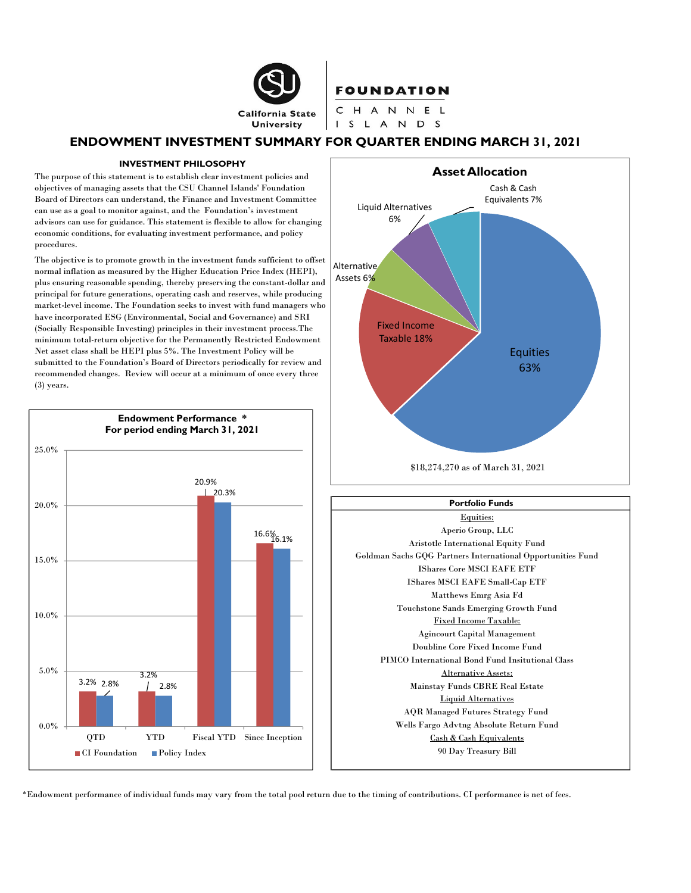

## **FOUNDATION**

CHANNEL I S L A N D S

### ENDOWMENT INVESTMENT SUMMARY FOR QUARTER ENDING MARCH 31, 2021

#### INVESTMENT PHILOSOPHY

The purpose of this statement is to establish clear investment policies and objectives of managing assets that the CSU Channel Islands' Foundation Board of Directors can understand, the Finance and Investment Committee can use as a goal to monitor against, and the Foundation's investment advisors can use for guidance. This statement is flexible to allow for changing economic conditions, for evaluating investment performance, and policy procedures.

The objective is to promote growth in the investment funds sufficient to offset normal inflation as measured by the Higher Education Price Index (HEPI), plus ensuring reasonable spending, thereby preserving the constant-dollar and principal for future generations, operating cash and reserves, while producing market-level income. The Foundation seeks to invest with fund managers who have incorporated ESG (Environmental, Social and Governance) and SRI (Socially Responsible Investing) principles in their investment process.The minimum total-return objective for the Permanently Restricted Endowment Net asset class shall be HEPI plus 5%. The Investment Policy will be submitted to the Foundation's Board of Directors periodically for review and recommended changes. Review will occur at a minimum of once every three (3) years.





#### Portfolio Funds

Equities: Aperio Group, LLC Aristotle International Equity Fund 16.1% Goldman Sachs GQG Partners International Opportunities Fund IShares Core MSCI EAFE ETF IShares MSCI EAFE Small-Cap ETF Matthews Emrg Asia Fd Touchstone Sands Emerging Growth Fund Fixed Income Taxable: Agincourt Capital Management Doubline Core Fixed Income Fund PIMCO International Bond Fund Insitutional Class Alternative Assets: Mainstay Funds CBRE Real Estate Liquid Alternatives AQR Managed Futures Strategy Fund Wells Fargo Advtng Absolute Return Fund Cash & Cash Equivalents 90 Day Treasury Bill

\*Endowment performance of individual funds may vary from the total pool return due to the timing of contributions. CI performance is net of fees.